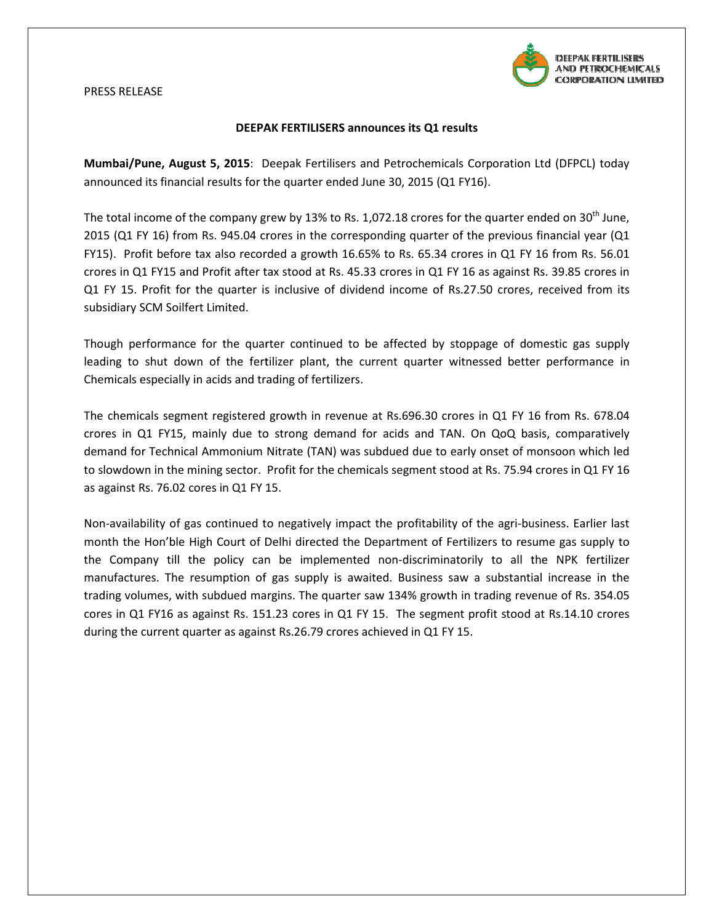

## PRESS RELEASE

## DEEPAK FERTILISERS announces its Q1 results

Mumbai/Pune, August 5, 2015: Deepak Fertilisers and Petrochemicals Corporation Ltd (DFPCL) today announced its financial results for the quarter ended June 30, 2015 (Q1 FY16).

The total income of the company grew by 13% to Rs. 1,072.18 crores for the quarter ended on 2015 (Q1 FY 16) from Rs. 945.04 crores in the corresponding quarter of the previous financial year (Q1 FY15). Profit before tax also recorded a growth 16.65% to Rs. 65.34 crores in Q1 FY 16 from Rs. 56.01 crores in Q1 FY15 and Profit after tax stood at Rs. 45.33 crores in Q1 FY 16 as against Rs. 39.85 crores in Q1 FY 15. Profit for the quarter is inclusive of dividend income of Rs.27.50 crores, received from its<br>subsidiary SCM Soilfert Limited.<br>Though performance for the quarter continued to be affected by stoppage of domestic ga subsidiary SCM Soilfert Limited.

Though performance for the quarter continued to be affected by stoppage of domestic gas supply leading to shut down of the fertilizer plant, the current quarter witnessed better performance in Chemicals especially in acids and trading of fertilizers.

Chemicals especially in acids and trading of fertilizers.<br>The chemicals segment registered growth in revenue at Rs.696.30 crores in Q1 FY 16 from Rs. 678.04 crores in Q1 FY15, mainly due to strong demand for acids and TAN. On QoQ basis, comparatively demand for Technical Ammonium Nitrate (TAN) was subdued due to early onset of monsoon which led to slowdown in the mining sector. Profit for the chemicals segment stood at Rs. 75.94 crores in Q1 FY 16 as against Rs. 76.02 cores in Q1 FY 1 15.

Non-availability of gas continued to negatively impact the profitability of the agri-business. Earlier last month the Hon'ble High Court of Delhi directed the Department of Fertilizers to resume gas supply to the Company till the policy can be implemented non-discriminatorily to all the NPK fertilizer manufactures. The resumption of gas supply is awaited. Business saw a substantial increase in the trading volumes, with subdued margins. The quarter saw 134% growth in trading revenue of Rs. 354.05 cores in Q1 FY16 as against Rs. 151.23 cores in Q1 FY 15. The segment profit stood at Rs.14.10 crores during the current quarter as against Rs.26.79 crores achieved in Q1 FY 15. ncome of the company grew by 13% to Rs. 1,072.18 crores for the quarter ended on 30<sup>th</sup> June,<br>Y 16) from Rs. 945.04 crores in the corresponding quarter of the previous financial year fit)<br>fit before tax also recorded a gro